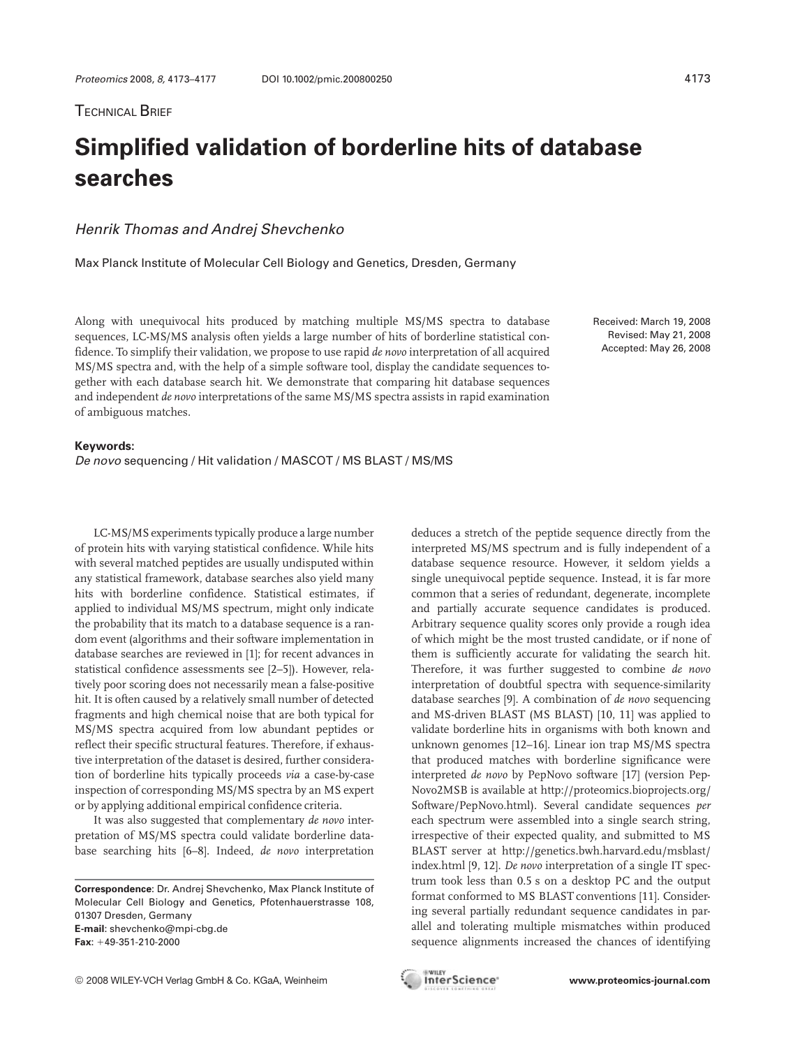# **Simplified validation of borderline hits of database searches**

# Henrik Thomas and Andrej Shevchenko

Max Planck Institute of Molecular Cell Biology and Genetics, Dresden, Germany

Along with unequivocal hits produced by matching multiple MS/MS spectra to database sequences, LC-MS/MS analysis often yields a large number of hits of borderline statistical confidence. To simplify their validation, we propose to use rapid *de novo* interpretation of all acquired MS/MS spectra and, with the help of a simple software tool, display the candidate sequences together with each database search hit. We demonstrate that comparing hit database sequences and independent *de novo* interpretations of the same MS/MS spectra assists in rapid examination of ambiguous matches.

Received: March 19, 2008 Revised: May 21, 2008 Accepted: May 26, 2008

### **Keywords:**

De novo sequencing / Hit validation / MASCOT / MS BLAST / MS/MS

LC-MS/MS experiments typically produce a large number of protein hits with varying statistical confidence. While hits with several matched peptides are usually undisputed within any statistical framework, database searches also yield many hits with borderline confidence. Statistical estimates, if applied to individual MS/MS spectrum, might only indicate the probability that its match to a database sequence is a random event (algorithms and their software implementation in database searches are reviewed in [1]; for recent advances in statistical confidence assessments see [2–5]). However, relatively poor scoring does not necessarily mean a false-positive hit. It is often caused by a relatively small number of detected fragments and high chemical noise that are both typical for MS/MS spectra acquired from low abundant peptides or reflect their specific structural features. Therefore, if exhaustive interpretation of the dataset is desired, further consideration of borderline hits typically proceeds *via* a case-by-case inspection of corresponding MS/MS spectra by an MS expert or by applying additional empirical confidence criteria.

It was also suggested that complementary *de novo* interpretation of MS/MS spectra could validate borderline database searching hits [6–8]. Indeed, *de novo* interpretation deduces a stretch of the peptide sequence directly from the interpreted MS/MS spectrum and is fully independent of a database sequence resource. However, it seldom yields a single unequivocal peptide sequence. Instead, it is far more common that a series of redundant, degenerate, incomplete and partially accurate sequence candidates is produced. Arbitrary sequence quality scores only provide a rough idea of which might be the most trusted candidate, or if none of them is sufficiently accurate for validating the search hit. Therefore, it was further suggested to combine *de novo* interpretation of doubtful spectra with sequence-similarity database searches [9]. A combination of *de novo* sequencing and MS-driven BLAST (MS BLAST) [10, 11] was applied to validate borderline hits in organisms with both known and unknown genomes [12–16]. Linear ion trap MS/MS spectra that produced matches with borderline significance were interpreted *de novo* by PepNovo software [17] (version Pep-Novo2MSB is available at http://proteomics.bioprojects.org/ Software/PepNovo.html). Several candidate sequences *per* each spectrum were assembled into a single search string, irrespective of their expected quality, and submitted to MS BLAST server at http://genetics.bwh.harvard.edu/msblast/ index.html [9, 12]. *De novo* interpretation of a single IT spectrum took less than 0.5 s on a desktop PC and the output format conformed to MS BLAST conventions [11]. Considering several partially redundant sequence candidates in parallel and tolerating multiple mismatches within produced sequence alignments increased the chances of identifying

**Correspondence**: Dr. Andrej Shevchenko, Max Planck Institute of Molecular Cell Biology and Genetics, Pfotenhauerstrasse 108, 01307 Dresden, Germany **E-mail**: shevchenko@mpi-cbg.de  $\text{Fax}$ :  $+49-351-210-2000$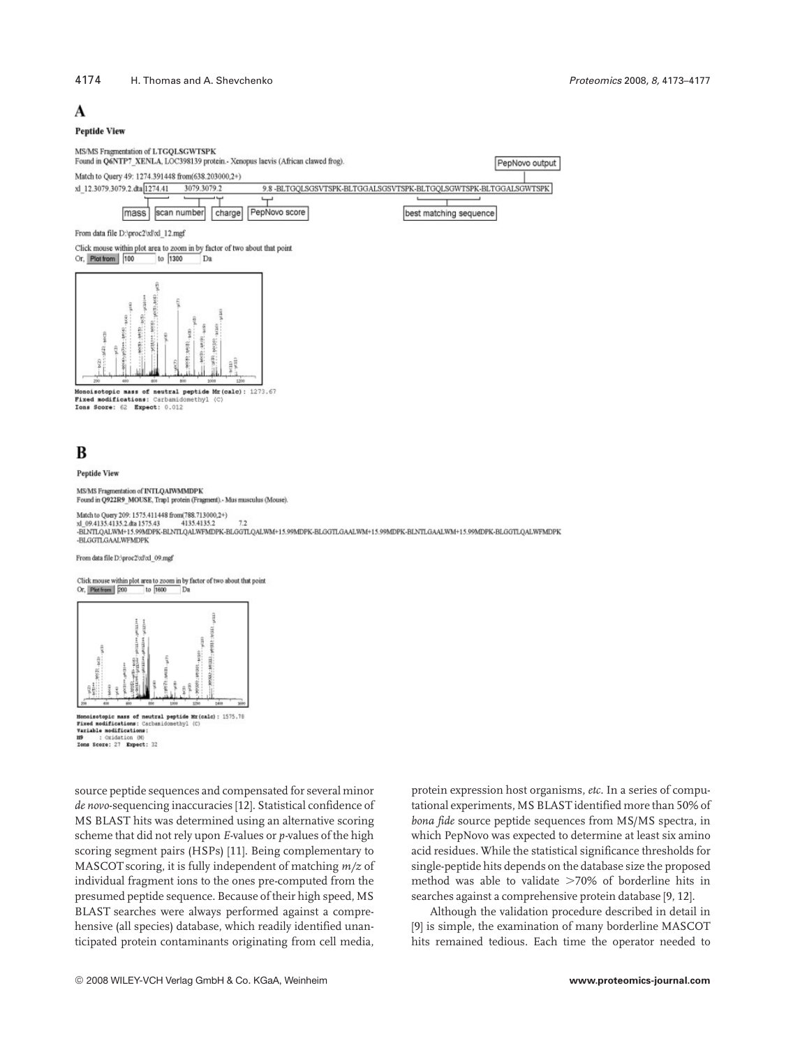### 4174 H. Thomas and A. Shevchenko Proteomics 2008, 8, 4173–4177

# A

### **Peptide View**

MS/MS Fragmentation of LTGQLSGWTSPK

Found in Q6NTP7 XENLA, LOC398139 protein. - Xenopus laevis (African clawed frog) PepNovo output Match to Ouery 49: 1274.391448 from 638.203000.2+) xl 12.3079.3079.2.dta 1274.41 3079.3079.2 9.8 -BLTGQLSGSVTSPK-BLTGGALSGSVTSPK-BLTGQLSGWTSPK-BLTGGALSGWTSPK

> charge PepNovo score best matching sequence

mass From data file D:\proc2\xl\xl 12.mgf

Click mouse within plot area to zoom in by factor of two about that point Or, Plot from | 100 to  $\boxed{1300}$  $\top_{\text{Da}}$ 

scan number



donoisotopic mass of neutral peptide Mr (calc): 1273.67 Fixed modifications: Carbamidomethyl (C) Tons Score: 62 Expect: 0.012

# B

Pentide View

MS/MS Fragmentation of INTLOARWMMDPK Found in Q922R9\_MOUSE, Trap1 protein (Fragment). Mus musculus (Mouse).

Match to Query 209: 1575.411448 from(788.713000,2+)  $\begin{array}{lcl}\texttt{x1\_09.4135.4135.2} & & 7.2\\ \texttt{x2\_09.4135.4135.2} & & 4135.4135.2\\ \texttt{-BINTOALWM-15.99MDPK-BLGTLOALWFM-15.99MDPK-BLGTLOALWFM-15.99MDPK-BLNTLOALWFM-15.99MDPK-BLGTLOALWFM-15.99MDPK-BLGTLOALWFM-15.99MDPK-BLGTLOALWFM-15.99MDFK-BLGTLOALWFM-15.99MDFK-BLGTLOALWFM-15.99MDFK-BLGTLOALWFM-15.99$ -BLGGTLGAALWFMDPK

#### From data file D:/proc2/xl/xl 09.mgf

Click mouse within plot area to zoom in by factor of two about that point Or, Plotfrom 200 to 1600 Dt

| $1000$<br>$+100$<br>g | ł<br>主日<br>$122 + 1$<br>w0(11)=*<br>15012214<br>enting<br><b>B-140</b><br>Ĭ<br>g<br>H | 彭    | ś<br>ĩ<br>5322.<br><br>÷<br>٥ |       |
|-----------------------|---------------------------------------------------------------------------------------|------|-------------------------------|-------|
|                       |                                                                                       | tion | 10                            | 1,400 |



119 : Oxidation (M)<br>Tems Score: 27 Expect: 32

source peptide sequences and compensated for several minor *de novo*-sequencing inaccuracies [12]. Statistical confidence of MS BLAST hits was determined using an alternative scoring scheme that did not rely upon *E-*values or *p-*values of the high scoring segment pairs (HSPs) [11]. Being complementary to MASCOT scoring, it is fully independent of matching *m/z* of individual fragment ions to the ones pre-computed from the presumed peptide sequence. Because of their high speed, MS BLAST searches were always performed against a comprehensive (all species) database, which readily identified unanticipated protein contaminants originating from cell media,

protein expression host organisms, *etc.* In a series of computational experiments, MS BLAST identified more than 50% of *bona fide* source peptide sequences from MS/MS spectra, in which PepNovo was expected to determine at least six amino acid residues. While the statistical significance thresholds for single-peptide hits depends on the database size the proposed method was able to validate  $>70\%$  of borderline hits in searches against a comprehensive protein database [9, 12].

Although the validation procedure described in detail in [9] is simple, the examination of many borderline MASCOT hits remained tedious. Each time the operator needed to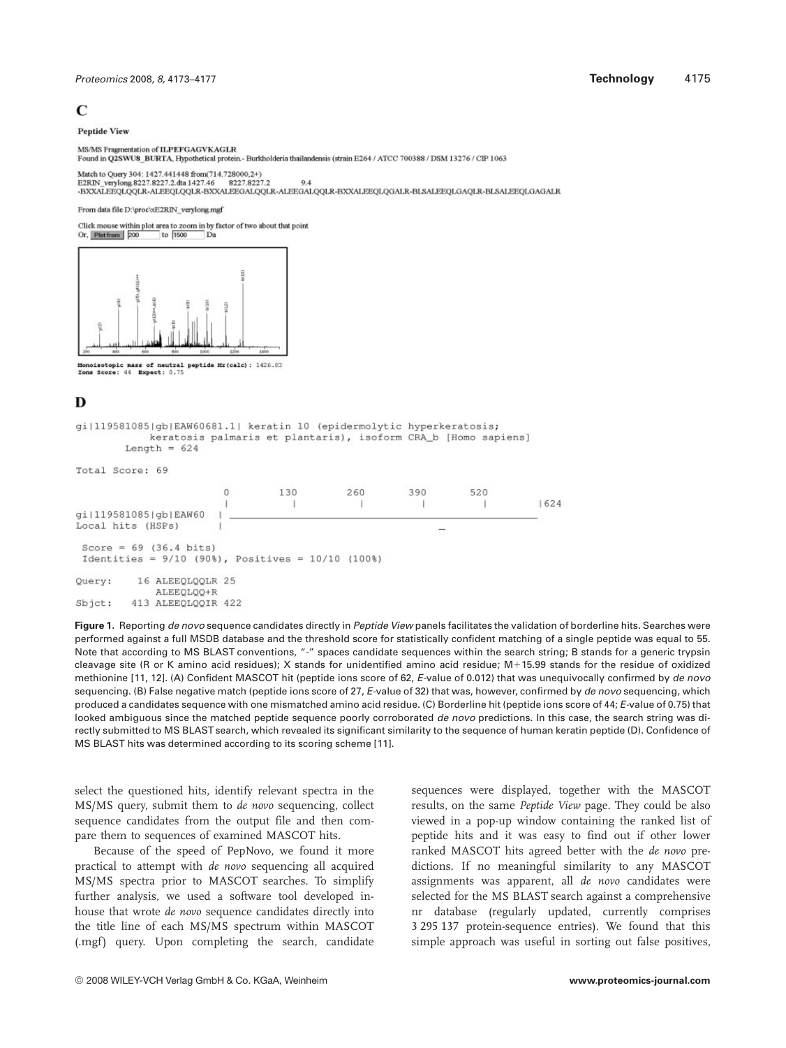# $\mathcal{C}$

### **Pentide View**

MS/MS Fragmentation of ILPEFGAGVKAGLR

Found in Q2SWU8 BURTA, Hypothetical protein. Burkholderia thailandensis (strain E264 / ATCC 700388 / DSM 13276 / CIP 1063

Match to Query 304: 1427.441448 from(714.728000,2+) 8227.8227.2 E2RIN verylong 8227 8227.2 dta 1427.46 9.4 -BXXALEEQLQQLR-ALEEQLQQLR-BXXALEEGALQQLR-ALEEGALQQLR-BXXALEEQLQGALR-BLSALEEQLGAQLR-BLSALEEQLGAGALR

From data file D:\proc\xE2RIN\_verylong.mg

Click mouse within plot area to zoom in by factor of two about that point Or, Platfrom 200  $\overline{1600}$ 



Monoisotopic mass of neutral peptide Mr(calc): 1426.83<br>Ions Score: 44 Expect: 0.75

## D

```
qi|119581085|qb|EAW60681.1| keratin 10 (epidermolytic hyperkeratosis;
               keratosis palmaris et plantaris), isoform CRA b [Homo sapiens]
          Length = 624Total Score: 69
                              \Omega130
                                                        260
                                                                     390
                                                                                  520
                                            \overline{1}\mathbf{I}\mathbf{I}1624
                               \overline{1}\overline{1}gi|119581085|gb|EAW60
Local hits (HSPs)
```
Score =  $69$  (36.4 bits) Identities =  $9/10$  (90%), Positives =  $10/10$  (100%) 16 ALEEQLQQLR 25 Query: ALEEOLOO+R

```
413 ALEEQLQQIR 422
Sbict:
```
Figure 1. Reporting de novo sequence candidates directly in Peptide View panels facilitates the validation of borderline hits. Searches were performed against a full MSDB database and the threshold score for statistically confident matching of a single peptide was equal to 55. Note that according to MS BLAST conventions, "-" spaces candidate sequences within the search string; B stands for a generic trypsin cleavage site (R or K amino acid residues); X stands for unidentified amino acid residue; M+15.99 stands for the residue of oxidized methionine [11, 12]. (A) Confident MASCOT hit (peptide ions score of 62, E-value of 0.012) that was unequivocally confirmed by de novo sequencing. (B) False negative match (peptide ions score of 27, E-value of 32) that was, however, confirmed by de novo sequencing, which produced a candidates sequence with one mismatched amino acid residue. (C) Borderline hit (peptide ions score of 44; E-value of 0.75) that looked ambiguous since the matched peptide sequence poorly corroborated de novo predictions. In this case, the search string was directly submitted to MS BLASTsearch, which revealed its significant similarity to the sequence of human keratin peptide (D). Confidence of MS BLAST hits was determined according to its scoring scheme [11].

select the questioned hits, identify relevant spectra in the MS/MS query, submit them to *de novo* sequencing, collect sequence candidates from the output file and then compare them to sequences of examined MASCOT hits.

Because of the speed of PepNovo, we found it more practical to attempt with *de novo* sequencing all acquired MS/MS spectra prior to MASCOT searches. To simplify further analysis, we used a software tool developed inhouse that wrote *de novo* sequence candidates directly into the title line of each MS/MS spectrum within MASCOT (.mgf) query. Upon completing the search, candidate sequences were displayed, together with the MASCOT results, on the same *Peptide View* page. They could be also viewed in a pop-up window containing the ranked list of peptide hits and it was easy to find out if other lower ranked MASCOT hits agreed better with the *de novo* predictions. If no meaningful similarity to any MASCOT assignments was apparent, all *de novo* candidates were selected for the MS BLAST search against a comprehensive nr database (regularly updated, currently comprises 3 295 137 protein-sequence entries). We found that this simple approach was useful in sorting out false positives,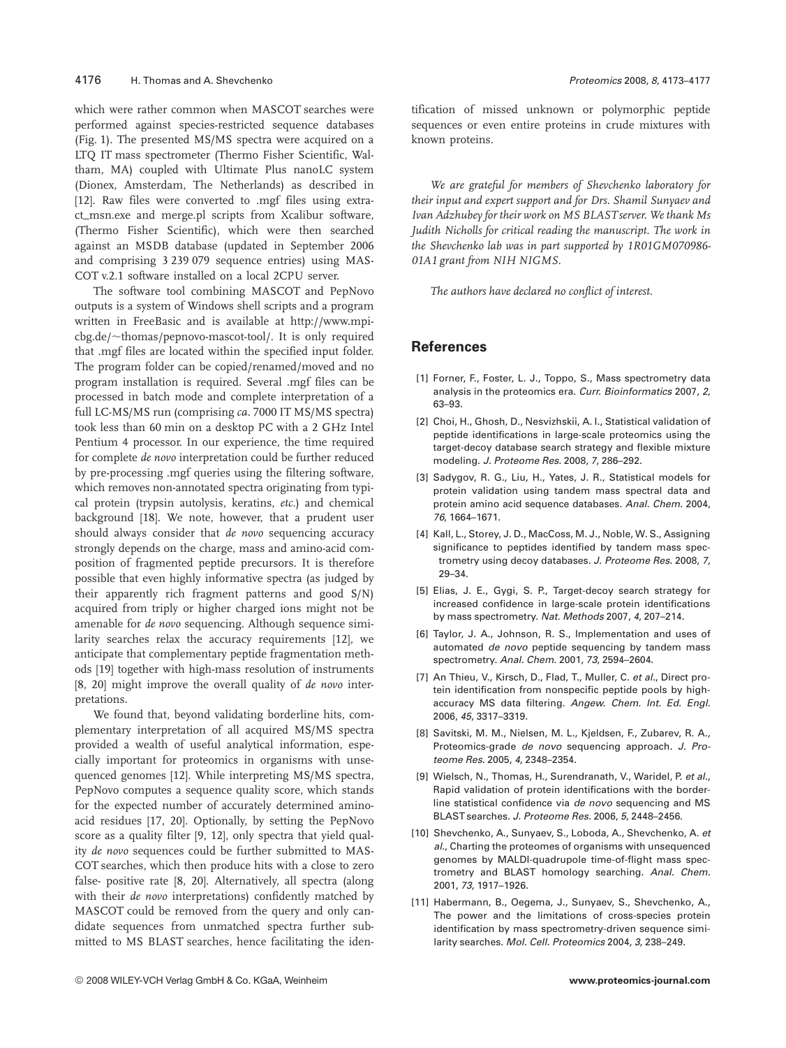### 4176 H. Thomas and A. Shevchenko Proteomics 2008, 8, 4173–4177

which were rather common when MASCOT searches were performed against species-restricted sequence databases (Fig. 1). The presented MS/MS spectra were acquired on a LTQ IT mass spectrometer (Thermo Fisher Scientific, Waltham, MA) coupled with Ultimate Plus nanoLC system (Dionex, Amsterdam, The Netherlands) as described in [12]. Raw files were converted to .mgf files using extract\_msn.exe and merge.pl scripts from Xcalibur software, (Thermo Fisher Scientific), which were then searched against an MSDB database (updated in September 2006 and comprising 3 239 079 sequence entries) using MAS-COT v.2.1 software installed on a local 2CPU server.

The software tool combining MASCOT and PepNovo outputs is a system of Windows shell scripts and a program written in FreeBasic and is available at http://www.mpicbg.de/~thomas/pepnovo-mascot-tool/. It is only required that .mgf files are located within the specified input folder. The program folder can be copied/renamed/moved and no program installation is required. Several .mgf files can be processed in batch mode and complete interpretation of a full LC-MS/MS run (comprising *ca.* 7000 IT MS/MS spectra) took less than 60 min on a desktop PC with a 2 GHz Intel Pentium 4 processor. In our experience, the time required for complete *de novo* interpretation could be further reduced by pre-processing .mgf queries using the filtering software, which removes non-annotated spectra originating from typical protein (trypsin autolysis, keratins, *etc.*) and chemical background [18]. We note, however, that a prudent user should always consider that *de novo* sequencing accuracy strongly depends on the charge, mass and amino-acid composition of fragmented peptide precursors. It is therefore possible that even highly informative spectra (as judged by their apparently rich fragment patterns and good S/N) acquired from triply or higher charged ions might not be amenable for *de novo* sequencing. Although sequence similarity searches relax the accuracy requirements [12], we anticipate that complementary peptide fragmentation methods [19] together with high-mass resolution of instruments [8, 20] might improve the overall quality of *de novo* interpretations.

We found that, beyond validating borderline hits, complementary interpretation of all acquired MS/MS spectra provided a wealth of useful analytical information, especially important for proteomics in organisms with unsequenced genomes [12]. While interpreting MS/MS spectra, PepNovo computes a sequence quality score, which stands for the expected number of accurately determined aminoacid residues [17, 20]. Optionally, by setting the PepNovo score as a quality filter [9, 12], only spectra that yield quality *de novo* sequences could be further submitted to MAS-COT searches, which then produce hits with a close to zero false- positive rate [8, 20]. Alternatively, all spectra (along with their *de novo* interpretations) confidently matched by MASCOT could be removed from the query and only candidate sequences from unmatched spectra further submitted to MS BLAST searches, hence facilitating the identification of missed unknown or polymorphic peptide sequences or even entire proteins in crude mixtures with known proteins.

*We are grateful for members of Shevchenko laboratory for their input and expert support and for Drs. Shamil Sunyaev and Ivan Adzhubey for their work on MS BLASTserver. We thank Ms Judith Nicholls for critical reading the manuscript. The work in the Shevchenko lab was in part supported by 1R01GM070986- 01A1 grant from NIH NIGMS.*

*The authors have declared no conflict of interest.*

# **References**

- [1] Forner, F., Foster, L. J., Toppo, S., Mass spectrometry data analysis in the proteomics era. Curr. Bioinformatics 2007, 2, 63–93.
- [2] Choi, H., Ghosh, D., Nesvizhskii, A. I., Statistical validation of peptide identifications in large-scale proteomics using the target-decoy database search strategy and flexible mixture modeling. J. Proteome Res. 2008, 7, 286–292.
- [3] Sadygov, R. G., Liu, H., Yates, J. R., Statistical models for protein validation using tandem mass spectral data and protein amino acid sequence databases. Anal. Chem. 2004, 76, 1664–1671.
- [4] Kall, L., Storey, J. D., MacCoss, M. J., Noble, W. S., Assigning significance to peptides identified by tandem mass spectrometry using decoy databases. J. Proteome Res. 2008, 7, 29–34.
- [5] Elias, J. E., Gygi, S. P., Target-decoy search strategy for increased confidence in large-scale protein identifications by mass spectrometry. Nat. Methods 2007, 4, 207–214.
- [6] Taylor, J. A., Johnson, R. S., Implementation and uses of automated de novo peptide sequencing by tandem mass spectrometry. Anal. Chem. 2001, 73, 2594–2604.
- [7] An Thieu, V., Kirsch, D., Flad, T., Muller, C. et al., Direct protein identification from nonspecific peptide pools by highaccuracy MS data filtering. Angew. Chem. Int. Ed. Engl. 2006, 45, 3317–3319.
- [8] Savitski, M. M., Nielsen, M. L., Kjeldsen, F., Zubarev, R. A., Proteomics-grade de novo sequencing approach. J. Proteome Res. 2005, 4, 2348–2354.
- [9] Wielsch, N., Thomas, H., Surendranath, V., Waridel, P. et al., Rapid validation of protein identifications with the borderline statistical confidence via de novo sequencing and MS BLAST searches. J. Proteome Res. 2006, 5, 2448–2456.
- [10] Shevchenko, A., Sunyaev, S., Loboda, A., Shevchenko, A. et al., Charting the proteomes of organisms with unsequenced genomes by MALDI-quadrupole time-of-flight mass spectrometry and BLAST homology searching. Anal. Chem. 2001, 73, 1917–1926.
- [11] Habermann, B., Oegema, J., Sunyaev, S., Shevchenko, A., The power and the limitations of cross-species protein identification by mass spectrometry-driven sequence similarity searches. Mol. Cell. Proteomics 2004, 3, 238–249.